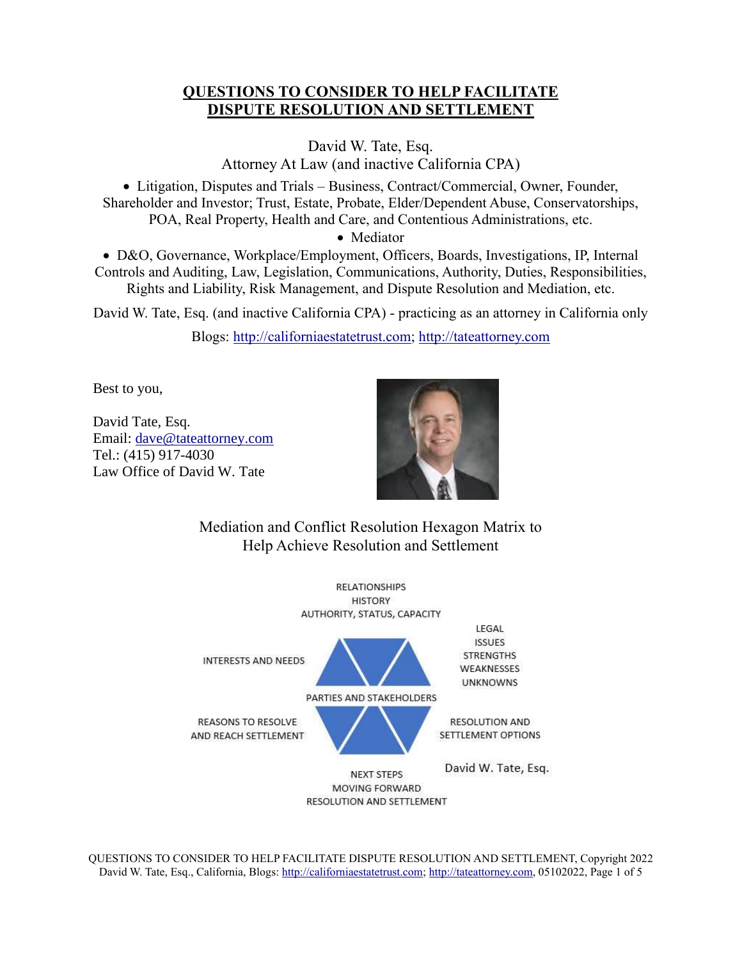## **QUESTIONS TO CONSIDER TO HELP FACILITATE DISPUTE RESOLUTION AND SETTLEMENT**

David W. Tate, Esq. Attorney At Law (and inactive California CPA)

• Litigation, Disputes and Trials – Business, Contract/Commercial, Owner, Founder, Shareholder and Investor; Trust, Estate, Probate, Elder/Dependent Abuse, Conservatorships, POA, Real Property, Health and Care, and Contentious Administrations, etc.

• Mediator

• D&O, Governance, Workplace/Employment, Officers, Boards, Investigations, IP, Internal Controls and Auditing, Law, Legislation, Communications, Authority, Duties, Responsibilities, Rights and Liability, Risk Management, and Dispute Resolution and Mediation, etc.

David W. Tate, Esq. (and inactive California CPA) - practicing as an attorney in California only

Blogs: [http://californiaestatetrust.com;](http://californiaestatetrust.com/) [http://tateattorney.com](http://tateattorney.com/)

Best to you,

David Tate, Esq. Email: [dave@tateattorney.com](mailto:dave@tateattorney.com)  Tel.: (415) 917-4030 Law Office of David W. Tate



Mediation and Conflict Resolution Hexagon Matrix to Help Achieve Resolution and Settlement



QUESTIONS TO CONSIDER TO HELP FACILITATE DISPUTE RESOLUTION AND SETTLEMENT, Copyright 2022 David W. Tate, Esq., California, Blogs[: http://californiaestatetrust.com;](http://californiaestatetrust.com/) [http://tateattorney.com,](http://tateattorney.com/) 05102022, Page 1 of 5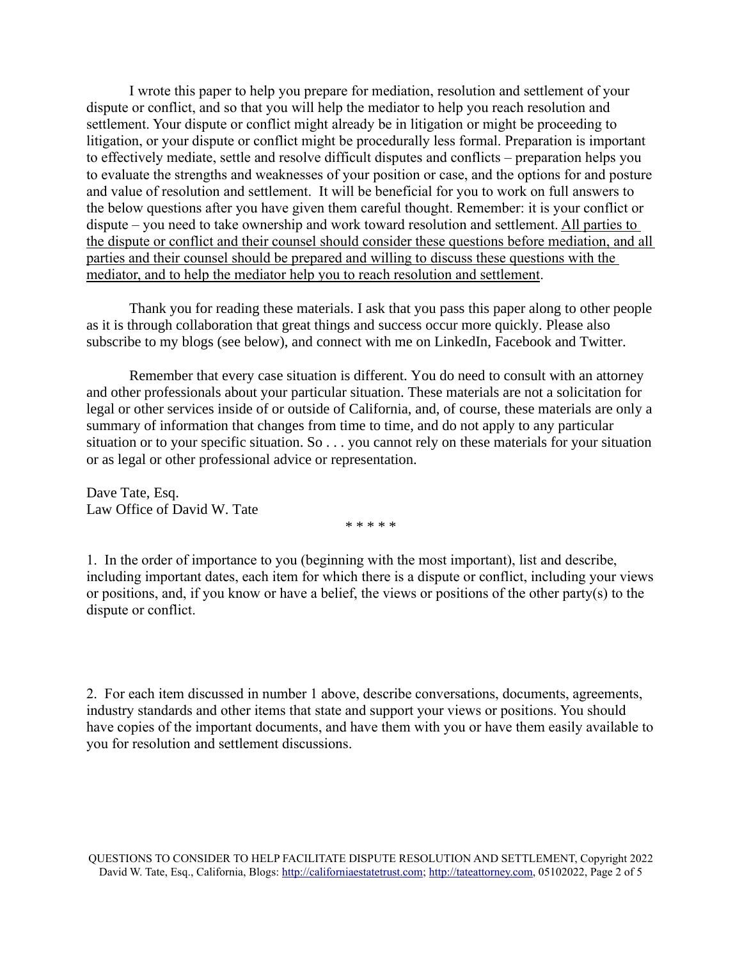I wrote this paper to help you prepare for mediation, resolution and settlement of your dispute or conflict, and so that you will help the mediator to help you reach resolution and settlement. Your dispute or conflict might already be in litigation or might be proceeding to litigation, or your dispute or conflict might be procedurally less formal. Preparation is important to effectively mediate, settle and resolve difficult disputes and conflicts – preparation helps you to evaluate the strengths and weaknesses of your position or case, and the options for and posture and value of resolution and settlement. It will be beneficial for you to work on full answers to the below questions after you have given them careful thought. Remember: it is your conflict or dispute – you need to take ownership and work toward resolution and settlement. All parties to the dispute or conflict and their counsel should consider these questions before mediation, and all parties and their counsel should be prepared and willing to discuss these questions with the mediator, and to help the mediator help you to reach resolution and settlement.

Thank you for reading these materials. I ask that you pass this paper along to other people as it is through collaboration that great things and success occur more quickly. Please also subscribe to my blogs (see below), and connect with me on LinkedIn, Facebook and Twitter.

Remember that every case situation is different. You do need to consult with an attorney and other professionals about your particular situation. These materials are not a solicitation for legal or other services inside of or outside of California, and, of course, these materials are only a summary of information that changes from time to time, and do not apply to any particular situation or to your specific situation. So . . . you cannot rely on these materials for your situation or as legal or other professional advice or representation.

Dave Tate, Esq. Law Office of David W. Tate

\* \* \* \* \*

1. In the order of importance to you (beginning with the most important), list and describe, including important dates, each item for which there is a dispute or conflict, including your views or positions, and, if you know or have a belief, the views or positions of the other party(s) to the dispute or conflict.

2. For each item discussed in number 1 above, describe conversations, documents, agreements, industry standards and other items that state and support your views or positions. You should have copies of the important documents, and have them with you or have them easily available to you for resolution and settlement discussions.

QUESTIONS TO CONSIDER TO HELP FACILITATE DISPUTE RESOLUTION AND SETTLEMENT, Copyright 2022 David W. Tate, Esq., California, Blogs[: http://californiaestatetrust.com;](http://californiaestatetrust.com/) [http://tateattorney.com,](http://tateattorney.com/) 05102022, Page 2 of 5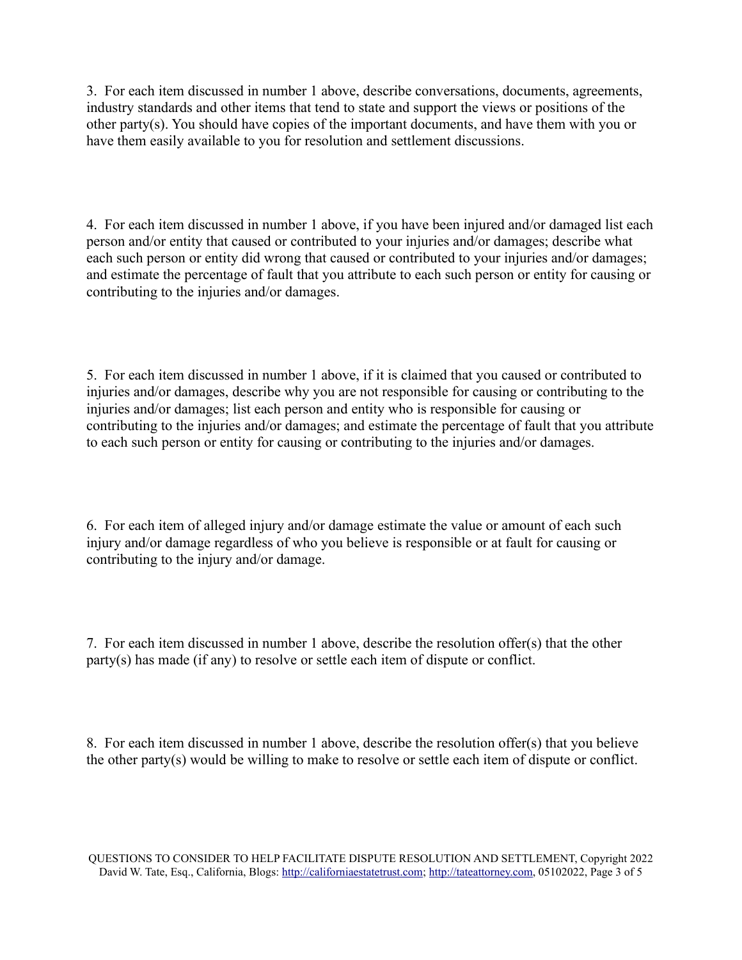3. For each item discussed in number 1 above, describe conversations, documents, agreements, industry standards and other items that tend to state and support the views or positions of the other party(s). You should have copies of the important documents, and have them with you or have them easily available to you for resolution and settlement discussions.

4. For each item discussed in number 1 above, if you have been injured and/or damaged list each person and/or entity that caused or contributed to your injuries and/or damages; describe what each such person or entity did wrong that caused or contributed to your injuries and/or damages; and estimate the percentage of fault that you attribute to each such person or entity for causing or contributing to the injuries and/or damages.

5. For each item discussed in number 1 above, if it is claimed that you caused or contributed to injuries and/or damages, describe why you are not responsible for causing or contributing to the injuries and/or damages; list each person and entity who is responsible for causing or contributing to the injuries and/or damages; and estimate the percentage of fault that you attribute to each such person or entity for causing or contributing to the injuries and/or damages.

6. For each item of alleged injury and/or damage estimate the value or amount of each such injury and/or damage regardless of who you believe is responsible or at fault for causing or contributing to the injury and/or damage.

7. For each item discussed in number 1 above, describe the resolution offer(s) that the other party(s) has made (if any) to resolve or settle each item of dispute or conflict.

8. For each item discussed in number 1 above, describe the resolution offer(s) that you believe the other party(s) would be willing to make to resolve or settle each item of dispute or conflict.

QUESTIONS TO CONSIDER TO HELP FACILITATE DISPUTE RESOLUTION AND SETTLEMENT, Copyright 2022 David W. Tate, Esq., California, Blogs[: http://californiaestatetrust.com;](http://californiaestatetrust.com/) [http://tateattorney.com,](http://tateattorney.com/) 05102022, Page 3 of 5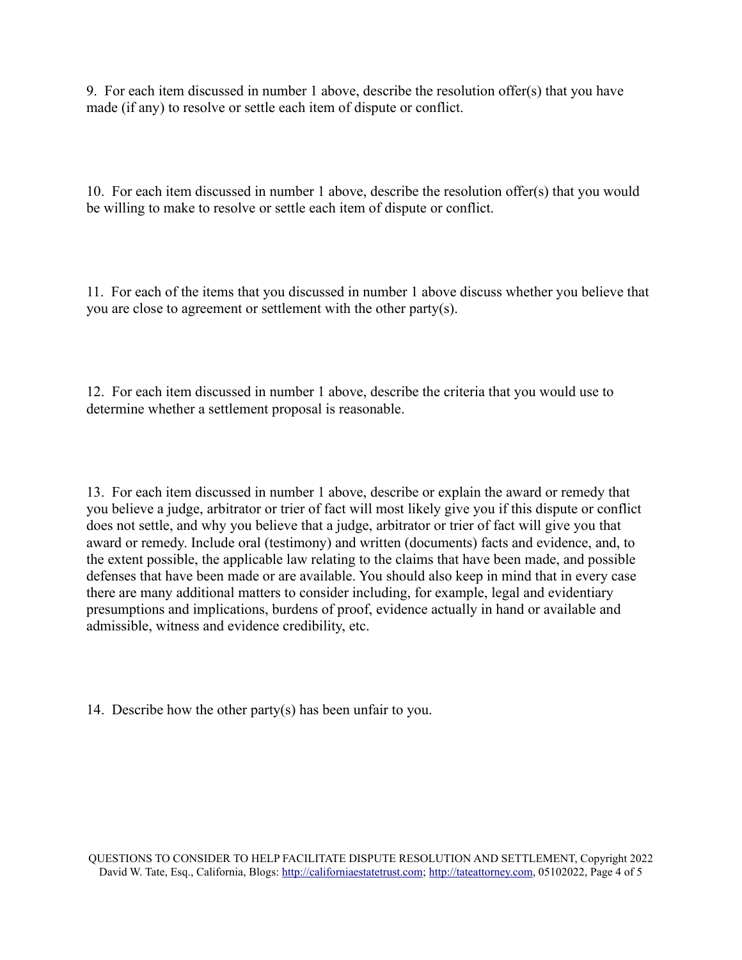9. For each item discussed in number 1 above, describe the resolution offer(s) that you have made (if any) to resolve or settle each item of dispute or conflict.

10. For each item discussed in number 1 above, describe the resolution offer(s) that you would be willing to make to resolve or settle each item of dispute or conflict.

11. For each of the items that you discussed in number 1 above discuss whether you believe that you are close to agreement or settlement with the other party(s).

12. For each item discussed in number 1 above, describe the criteria that you would use to determine whether a settlement proposal is reasonable.

13. For each item discussed in number 1 above, describe or explain the award or remedy that you believe a judge, arbitrator or trier of fact will most likely give you if this dispute or conflict does not settle, and why you believe that a judge, arbitrator or trier of fact will give you that award or remedy. Include oral (testimony) and written (documents) facts and evidence, and, to the extent possible, the applicable law relating to the claims that have been made, and possible defenses that have been made or are available. You should also keep in mind that in every case there are many additional matters to consider including, for example, legal and evidentiary presumptions and implications, burdens of proof, evidence actually in hand or available and admissible, witness and evidence credibility, etc.

14. Describe how the other party(s) has been unfair to you.